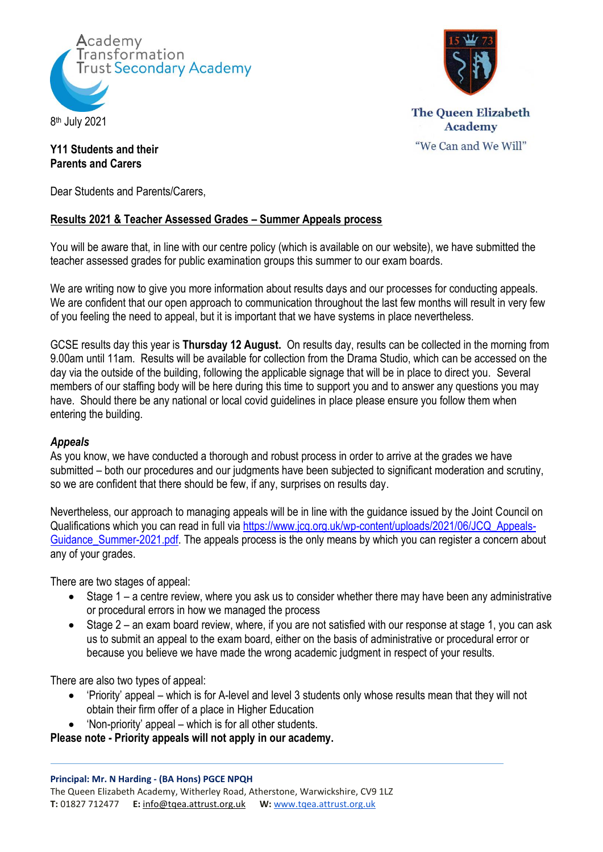



**The Queen Elizabeth Academy** "We Can and We Will"

## **Y11 Students and their Parents and Carers**

Dear Students and Parents/Carers,

## **Results 2021 & Teacher Assessed Grades – Summer Appeals process**

You will be aware that, in line with our centre policy (which is available on our website), we have submitted the teacher assessed grades for public examination groups this summer to our exam boards.

We are writing now to give you more information about results days and our processes for conducting appeals. We are confident that our open approach to communication throughout the last few months will result in very few of you feeling the need to appeal, but it is important that we have systems in place nevertheless.

GCSE results day this year is **Thursday 12 August.** On results day, results can be collected in the morning from 9.00am until 11am. Results will be available for collection from the Drama Studio, which can be accessed on the day via the outside of the building, following the applicable signage that will be in place to direct you. Several members of our staffing body will be here during this time to support you and to answer any questions you may have. Should there be any national or local covid guidelines in place please ensure you follow them when entering the building.

## *Appeals*

As you know, we have conducted a thorough and robust process in order to arrive at the grades we have submitted – both our procedures and our judgments have been subjected to significant moderation and scrutiny, so we are confident that there should be few, if any, surprises on results day.

Nevertheless, our approach to managing appeals will be in line with the guidance issued by the Joint Council on Qualifications which you can read in full via [https://www.jcq.org.uk/wp-content/uploads/2021/06/JCQ\\_Appeals-](https://www.jcq.org.uk/wp-content/uploads/2021/06/JCQ_Appeals-Guidance_Summer-2021.pdf)Guidance Summer-2021.pdf. The appeals process is the only means by which you can register a concern about any of your grades.

There are two stages of appeal:

- Stage 1 a centre review, where you ask us to consider whether there may have been any administrative or procedural errors in how we managed the process
- Stage 2 an exam board review, where, if you are not satisfied with our response at stage 1, you can ask us to submit an appeal to the exam board, either on the basis of administrative or procedural error or because you believe we have made the wrong academic judgment in respect of your results.

There are also two types of appeal:

- 'Priority' appeal which is for A-level and level 3 students only whose results mean that they will not obtain their firm offer of a place in Higher Education
- 'Non-priority' appeal which is for all other students.

**Please note - Priority appeals will not apply in our academy.**